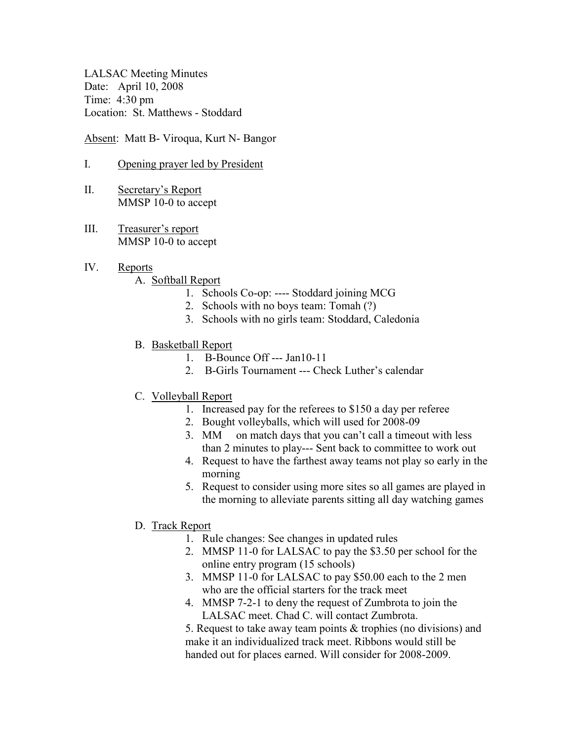LALSAC Meeting Minutes Date: April 10, 2008 Time: 4:30 pm Location: St. Matthews - Stoddard

Absent: Matt B- Viroqua, Kurt N- Bangor

- I. Opening prayer led by President
- II. Secretary's Report MMSP 10-0 to accept
- III. Treasurer's report MMSP 10-0 to accept
- IV. Reports
	- A. Softball Report
		- 1. Schools Co-op: ---- Stoddard joining MCG
		- 2. Schools with no boys team: Tomah (?)
		- 3. Schools with no girls team: Stoddard, Caledonia
	- B. Basketball Report
		- 1. B-Bounce Off --- Jan10-11
		- 2. B-Girls Tournament --- Check Luther's calendar
	- C. Volleyball Report
		- 1. Increased pay for the referees to \$150 a day per referee
		- 2. Bought volleyballs, which will used for 2008-09
		- 3. MM on match days that you can't call a timeout with less than 2 minutes to play--- Sent back to committee to work out
		- 4. Request to have the farthest away teams not play so early in the morning
		- 5. Request to consider using more sites so all games are played in the morning to alleviate parents sitting all day watching games
	- D. Track Report
		- 1. Rule changes: See changes in updated rules
		- 2. MMSP 11-0 for LALSAC to pay the \$3.50 per school for the online entry program (15 schools)
		- 3. MMSP 11-0 for LALSAC to pay \$50.00 each to the 2 men who are the official starters for the track meet
		- 4. MMSP 7-2-1 to deny the request of Zumbrota to join the LALSAC meet. Chad C. will contact Zumbrota.

5. Request to take away team points & trophies (no divisions) and make it an individualized track meet. Ribbons would still be handed out for places earned. Will consider for 2008-2009.